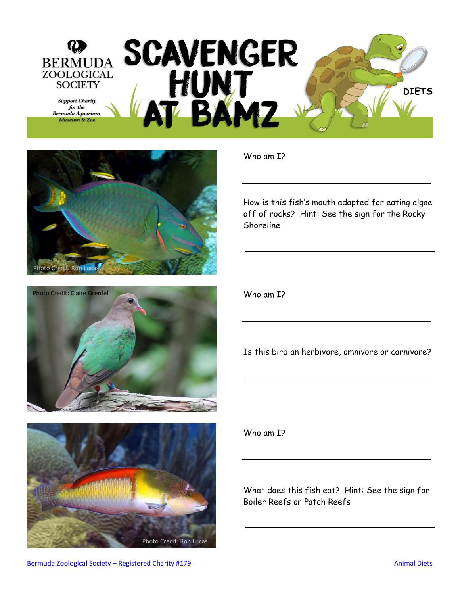







How is this fish's mouth adapted for eating algae off of rocks? Hint: See the sign for the Rocky Shoreline

Who am I?

Is this bird an herbivore, omnivore or carnivore?

Who am I?

,

What does this fish eat? Hint: See the sign for Boiler Reefs or Patch Reefs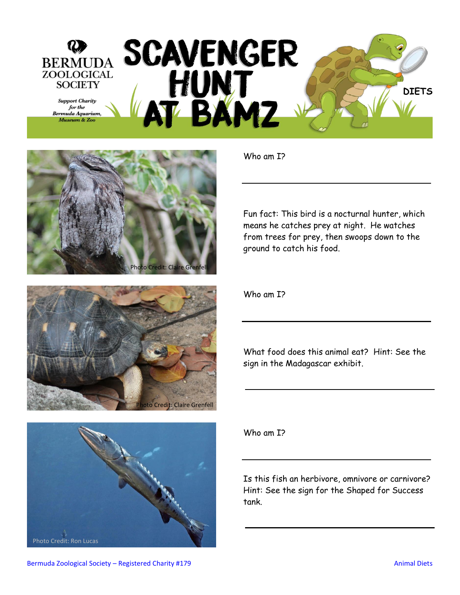







Fun fact: This bird is a nocturnal hunter, which means he catches prey at night. He watches from trees for prey, then swoops down to the ground to catch his food.

Who am I?

What food does this animal eat? Hint: See the sign in the Madagascar exhibit.

Who am I?

Is this fish an herbivore, omnivore or carnivore? Hint: See the sign for the Shaped for Success tank.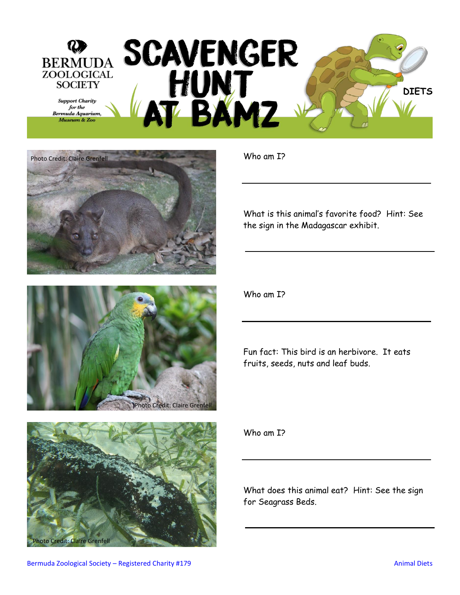







What is this animal's favorite food? Hint: See the sign in the Madagascar exhibit.

Who am I?

Fun fact: This bird is an herbivore. It eats fruits, seeds, nuts and leaf buds.

Who am I?

What does this animal eat? Hint: See the sign for Seagrass Beds.